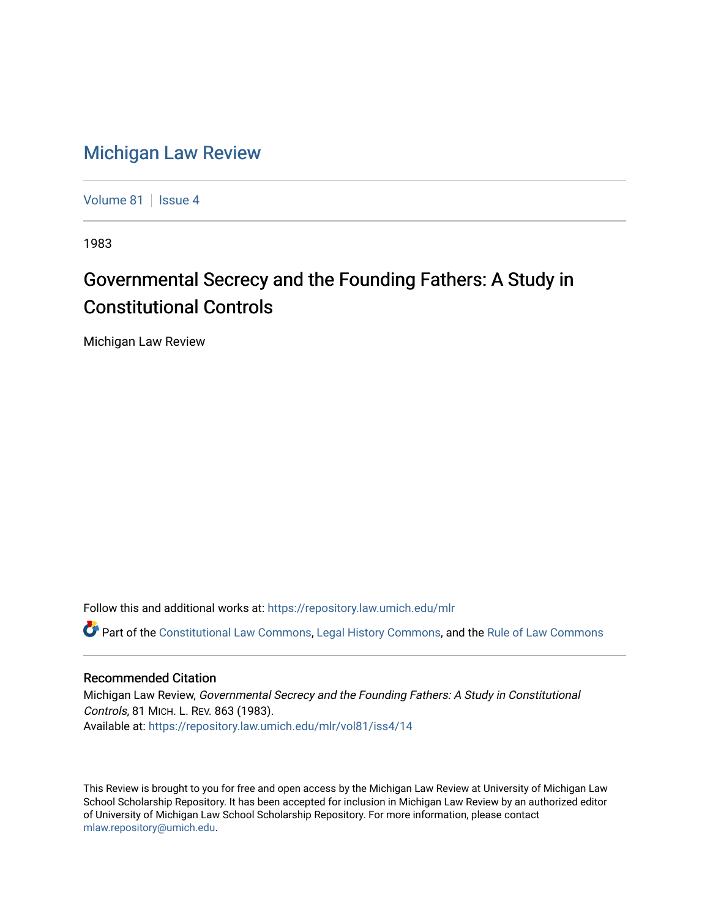## [Michigan Law Review](https://repository.law.umich.edu/mlr)

[Volume 81](https://repository.law.umich.edu/mlr/vol81) | [Issue 4](https://repository.law.umich.edu/mlr/vol81/iss4)

1983

## Governmental Secrecy and the Founding Fathers: A Study in Constitutional Controls

Michigan Law Review

Follow this and additional works at: [https://repository.law.umich.edu/mlr](https://repository.law.umich.edu/mlr?utm_source=repository.law.umich.edu%2Fmlr%2Fvol81%2Fiss4%2F14&utm_medium=PDF&utm_campaign=PDFCoverPages) 

Part of the [Constitutional Law Commons,](http://network.bepress.com/hgg/discipline/589?utm_source=repository.law.umich.edu%2Fmlr%2Fvol81%2Fiss4%2F14&utm_medium=PDF&utm_campaign=PDFCoverPages) [Legal History Commons](http://network.bepress.com/hgg/discipline/904?utm_source=repository.law.umich.edu%2Fmlr%2Fvol81%2Fiss4%2F14&utm_medium=PDF&utm_campaign=PDFCoverPages), and the [Rule of Law Commons](http://network.bepress.com/hgg/discipline/1122?utm_source=repository.law.umich.edu%2Fmlr%2Fvol81%2Fiss4%2F14&utm_medium=PDF&utm_campaign=PDFCoverPages) 

## Recommended Citation

Michigan Law Review, Governmental Secrecy and the Founding Fathers: A Study in Constitutional Controls, 81 MICH. L. REV. 863 (1983). Available at: [https://repository.law.umich.edu/mlr/vol81/iss4/14](https://repository.law.umich.edu/mlr/vol81/iss4/14?utm_source=repository.law.umich.edu%2Fmlr%2Fvol81%2Fiss4%2F14&utm_medium=PDF&utm_campaign=PDFCoverPages) 

This Review is brought to you for free and open access by the Michigan Law Review at University of Michigan Law School Scholarship Repository. It has been accepted for inclusion in Michigan Law Review by an authorized editor of University of Michigan Law School Scholarship Repository. For more information, please contact [mlaw.repository@umich.edu.](mailto:mlaw.repository@umich.edu)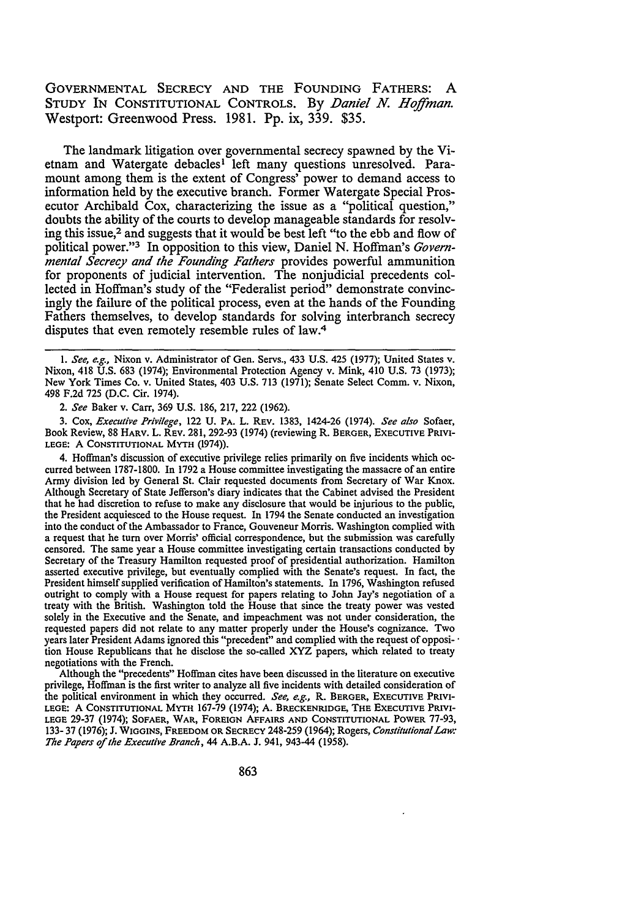GOVERNMENTAL SECRECY AND THE FOUNDING FATHERS: A STUDY IN CONSTITUTIONAL CONTROLS. By *Daniel N. Hoffman*. Westport: Greenwood Press. 1981. Pp. ix, 339. \$35.

The landmark litigation over governmental secrecy spawned by the Vietnam and Watergate debacles<sup>1</sup> left many questions unresolved. Paramount among them is the extent of Congress' power to demand access to information held by the executive branch. Former Watergate Special Prosecutor Archibald Cox, characterizing the issue as a "political question," doubts the ability of the courts to develop manageable standards for resolving this issue,<sup>2</sup> and suggests that it would be best left "to the ebb and flow of political power."3 In opposition to this view, Daniel N. Hoffman's *Governmental Secrecy and the Founding Fathers* provides powerful ammunition for proponents of judicial intervention. The nonjudicial precedents collected in Hoffman's study of the "Federalist period" demonstrate convincingly the failure of the political process, even at the hands of the Founding Fathers themselves, to develop standards for solving interbranch secrecy disputes that even remotely resemble rules of law.<sup>4</sup>

I. *See, e.g.,* Nixon v. Administrator of Gen. Servs., 433 U.S. 425 (1977); United States v. Nixon, 418 U.S. 683 (1974); Environmental Protection Agency v. Mink, 410 U.S. 73 (1973); New York Times Co. v. United States, 403 U.S. 713 (1971); Senate Select Comm. v. Nixon, 498 F.2d 725 (D.C. Cir. 1974).

2. *See* Baker v. Carr, 369 U.S. 186, 217, 222 (1962).

3. Cox, *Executive Privilege,* 122 U. PA. L. REY. 1383, 1424-26 (1974). *See also* Sofaer, Book Review, 88 HARV. L. REY. 281, 292-93 (1974) (reviewing R. BERGER, EXECUTIVE PRJYJ-LEGE: A CONSTITUTIONAL MYTH (1974)).

4. Hoffman's discussion of executive privilege relies primarily on five incidents which occurred between 1787-1800. In 1792 a House committee investigating the massacre of an entire Army division led by General St. Clair requested documents from Secretary of War Knox. Although Secretary of State Jefferson's diary indicates that the Cabinet advised the President that he had discretion to refuse to make any disclosure that would be injurious to the public, the President acquiesced to the House request. In 1794 the Senate conducted an investigation into the conduct of the Ambassador to France, Gouveneur Morris. Washington complied with a request that he tum over Morris' official correspondence, but the submission was carefully censored. The same year a House committee investigating certain transactions conducted by Secretary of the Treasury Hamilton requested proof of presidential authorization. Hamilton asserted executive privilege, but eventually complied with the Senate's request. In fact, the President himself supplied verification of Hamilton's statements. In 1796, Washington refused outright to comply with a House request for papers relating to John Jay's negotiation of a treaty with the British. Washington told the House that since the treaty power was vested solely in the Executive and the Senate, and impeachment was not under consideration, the requested papers did not relate to any matter properly under the House's cognizance. Two years later President Adams ignored this "precedent" and complied with the request of opposi- · tion House Republicans that he disclose the so-called XYZ papers, which related to treaty negotiations with the French.

Although the "precedents" Hoffman cites have been discussed in the literature on executive privilege, Hoffman is the first writer to analyze all five incidents with detailed consideration of the political environment in which they occurred. *See, e.g.,* R. BERGER, EXECUTIVE PRIVI-LEGE: A CONSTITUTIONAL MYTH 167-79 (1974); A. BRECKENRIDGE, THE EXECUTIVE PRIVI-LEGE 29-37 (1974); SOFAER, WAR, FOREIGN AFFAIRS AND CONSTITUTIONAL POWER 77-93, 133- 37 (1976); J. WIGGINS, FREEDOM OR SECRECY 248-259 (1964); Rogers, *Constitutional Law: The Papers of the Executive Branch,* 44 A.B.A. J. 941, 943-44 (1958).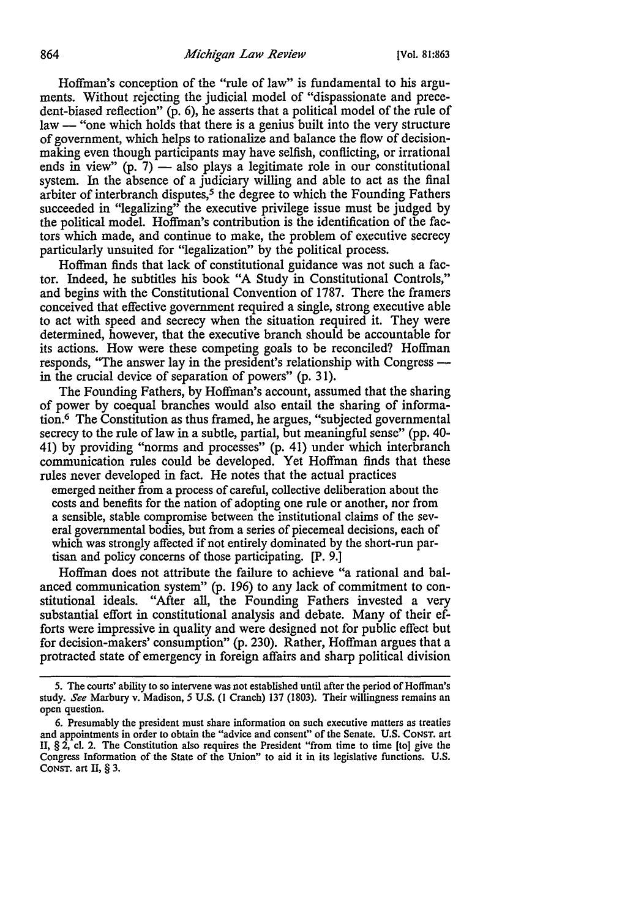Hoffman's conception of the "rule of law" is fundamental to his arguments. Without rejecting the judicial model of "dispassionate and precedent-biased reflection" (p. 6), he asserts that a political model of the rule of law — "one which holds that there is a genius built into the very structure of government, which helps to rationalize and balance the flow of decisionmaking even though participants may have selfish, conflicting, or irrational ends in view"  $(p, 7)$  — also plays a legitimate role in our constitutional system. In the absence of a judiciary willing and able to act as the final arbiter of interbranch disputes,<sup>5</sup> the degree to which the Founding Fathers succeeded in "legalizing" the executive privilege issue must be judged by the political model. Hoffman's contribution is the identification of the factors which made, and continue to make, the problem of executive secrecy particularly unsuited for "legalization" by the political process.

Hoffman finds that lack of constitutional guidance was not such a factor. Indeed, he subtitles his book "A Study in Constitutional Controls," and begins with the Constitutional Convention of 1787. There the framers conceived that effective government required a single, strong executive able to act with speed and secrecy when the situation required it. They were determined, however, that the executive branch should be accountable for its actions. How were these competing goals to be reconciled? Hoffman responds, "The answer lay in the president's relationship with Congress -in the crucial device of separation of powers" (p. 31).

The Founding Fathers, by Hoffman's account, assumed that the sharing of power by coequal branches would also entail the sharing of information. 6 The Constitution as thus framed, he argues, "subjected governmental secrecy to the rule of law in a subtle, partial, but meaningful sense" (pp. 40-41) by providing "norms and processes" (p. 41) under which interbranch communication rules could be developed. Yet Hoffman finds that these rules never developed in fact. He notes that the actual practices

emerged neither from a process of careful, collective deliberation about the costs and benefits for the nation of adopting one rule or another, nor from a sensible, stable compromise between the institutional claims of the several governmental bodies, but from a series of piecemeal decisions, each of which was strongly affected if not entirely dominated by the short-run partisan and policy concerns of those participating. [P. 9.)

Hoffman does not attribute the failure to achieve "a rational and balanced communication system" (p. 196) to any lack of commitment to constitutional ideals. "After all, the Founding Fathers invested a very substantial effort in constitutional analysis and debate. Many of their efforts were impressive in quality and were designed not for public effect but for decision-makers' consumption" (p. 230). Rather, Hoffman argues that a protracted state of emergency in foreign affairs and sharp political division

*<sup>5.</sup>* The courts' ability to so intervene was not established until after the period of Hoffman's study. *See* Marbury v. Madison, *5* U.S. (I Cranch) 137 (1803). Their willingness remains an open question.

<sup>6.</sup> Presumably the president must share information on such executive matters as treaties and appointments in order to obtain the "advice and consent" of the Senate. U.S. CONST. art II, § 2, cl. 2. The Constitution also requires the President "from time to time [to] give the Congress Information of the State of the Union" to aid it in its legislative functions. U.S. CONST. art II, § 3.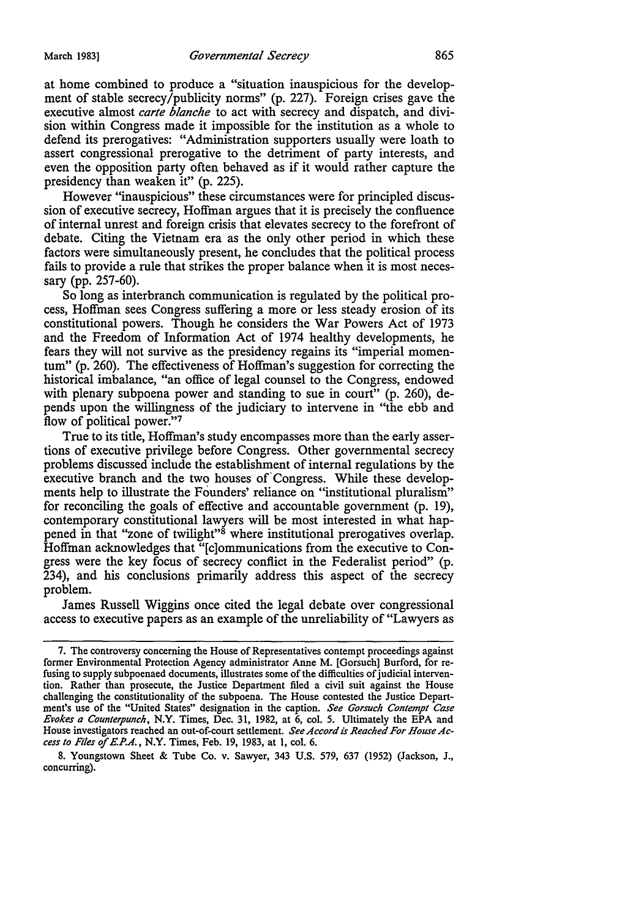at home combined to produce a "situation inauspicious for the development of stable secrecy/publicity norms" (p. 227). Foreign crises gave the executive almost *carte blanche* to act with secrecy and dispatch, and division within Congress made it impossible for the institution as a whole to defend its prerogatives: "Administration supporters usually were loath to assert congressional prerogative to the detriment of party interests, and even the opposition party often behaved as if it would rather capture the presidency than weaken it" (p. 225).

However "inauspicious" these circumstances were for principled discussion of executive secrecy, Hoffman argues that it is precisely the confluence of internal unrest and foreign crisis that elevates secrecy to the forefront of debate. Citing the Vietnam era as the only other period in which these factors were simultaneously present, he concludes that the political process fails to provide a rule that strikes the proper balance when it is most necessary (pp. 257-60).

So long as interbranch communication is regulated by the political process, Hoffman sees Congress suffering a more or less steady erosion of its constitutional powers. Though he considers the War Powers Act of 1973 and the Freedom of Information Act of 1974 healthy developments, he fears they will not survive as the presidency regains its "imperial momentum" (p. 260). The effectiveness of Hoffman's suggestion for correcting the historical imbalance, "an office of legal counsel to the Congress, endowed with plenary subpoena power and standing to sue in court" (p. 260), depends upon the willingness of the judiciary to intervene in "the ebb and flow of political power."7

True to its title, Hoffman's study encompasses more than the early assertions of executive privilege before Congress. Other governmental secrecy problems discussed include the establishment of internal regulations by the executive branch and the two houses of' Congress. While these developments help to illustrate the Founders' reliance on "institutional pluralism" for reconciling the goals of effective and accountable government (p. 19), contemporary constitutional lawyers will be most interested in what happened in that "zone of twilight"<sup>8</sup> where institutional prerogatives overlap. Hoffman acknowledges that "[c]ommunications from the executive to Congress were the key focus of secrecy conflict in the Federalist period" (p. 234), and his conclusions primarily address this aspect of the secrecy problem.

James Russell Wiggins once cited the legal debate over congressional access to executive papers as an example of the unreliability of "Lawyers as

<sup>7.</sup> The controversy concerning the House of Representatives contempt proceedings against former Environmental Protection Agency administrator Anne **M.** [Gorsuch] Burford, for refusing to supply subpoenaed documents, illustrates some of the difficulties of judicial intervention. Rather than prosecute, the Justice Department filed a civil suit against the House challenging the constitutionality of the subpoena. The House contested the Justice Department's use of the "United States" designation in the caption. *See Gorsuch Contempt Case Evokes a Counterpunch,* **N.Y.** Times, Dec. 31, 1982, at 6, col. 5. Ultimately the EPA and House investigators reached an out-of-court settlement. *See Accord* is *Reached For House Access to Files of E.P.A.,* **N.Y.** Times, Feb. 19, 1983, at 1, col. 6.

<sup>8.</sup> Youngstown Sheet & Tube Co. v. Sawyer, 343 U.S. 579, 637 (1952) (Jackson, J., concurring).